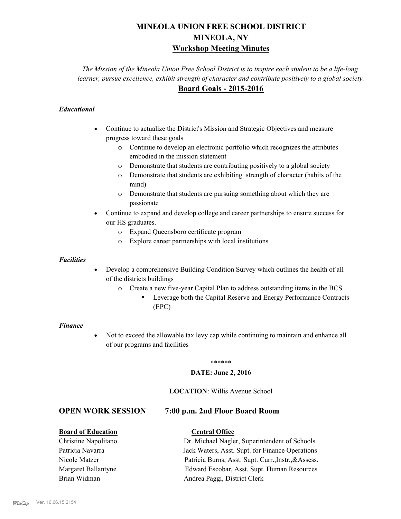## **MINEOLA UNION FREE SCHOOL DISTRICT MINEOLA, NY Workshop Meeting Minutes**

*The Mission of the Mineola Union Free School District is to inspire each student to be a life-long learner, pursue excellence, exhibit strength of character and contribute positively to a global society.* **Board Goals - 2015-2016**

#### *Educational*

- · Continue to actualize the District's Mission and Strategic Objectives and measure progress toward these goals
	- o Continue to develop an electronic portfolio which recognizes the attributes embodied in the mission statement
	- o Demonstrate that students are contributing positively to a global society
	- o Demonstrate that students are exhibiting strength of character (habits of the mind)
	- o Demonstrate that students are pursuing something about which they are passionate
- Continue to expand and develop college and career partnerships to ensure success for our HS graduates.
	- o Expand Queensboro certificate program
	- o Explore career partnerships with local institutions

#### *Facilities*

- Develop a comprehensive Building Condition Survey which outlines the health of all of the districts buildings
	- o Create a new five-year Capital Plan to address outstanding items in the BCS
		- § Leverage both the Capital Reserve and Energy Performance Contracts (EPC)

#### *Finance*

• Not to exceed the allowable tax levy cap while continuing to maintain and enhance all of our programs and facilities

#### \*\*\*\*\*\*

#### **DATE: June 2, 2016**

#### **LOCATION**: Willis Avenue School

#### **OPEN WORK SESSION 7:00 p.m. 2nd Floor Board Room**

#### **Board of Education Central Office**

#### Christine Napolitano Dr. Michael Nagler, Superintendent of Schools Patricia Navarra Jack Waters, Asst. Supt. for Finance Operations Nicole Matzer Patricia Burns, Asst. Supt. Curr.,Instr.,&Assess. Margaret Ballantyne Edward Escobar, Asst. Supt. Human Resources Brian Widman **Andrea Paggi, District Clerk**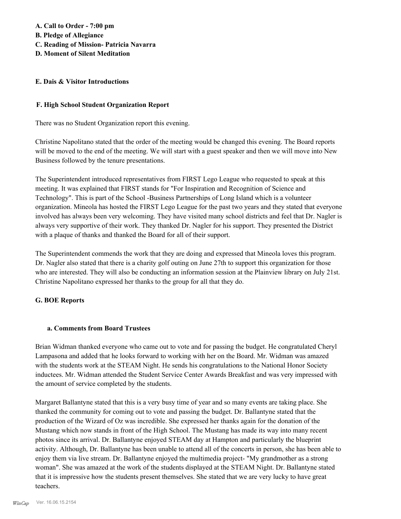# **A. Call to Order - 7:00 pm**

- **B. Pledge of Allegiance**
- **C. Reading of Mission- Patricia Navarra**
- **D. Moment of Silent Meditation**

#### **E. Dais & Visitor Introductions**

#### **F. High School Student Organization Report**

There was no Student Organization report this evening.

Christine Napolitano stated that the order of the meeting would be changed this evening. The Board reports will be moved to the end of the meeting. We will start with a guest speaker and then we will move into New Business followed by the tenure presentations.

The Superintendent introduced representatives from FIRST Lego League who requested to speak at this meeting. It was explained that FIRST stands for "For Inspiration and Recognition of Science and Technology". This is part of the School -Business Partnerships of Long Island which is a volunteer organization. Mineola has hosted the FIRST Lego League for the past two years and they stated that everyone involved has always been very welcoming. They have visited many school districts and feel that Dr. Nagler is always very supportive of their work. They thanked Dr. Nagler for his support. They presented the District with a plaque of thanks and thanked the Board for all of their support.

The Superintendent commends the work that they are doing and expressed that Mineola loves this program. Dr. Nagler also stated that there is a charity golf outing on June 27th to support this organization for those who are interested. They will also be conducting an information session at the Plainview library on July 21st. Christine Napolitano expressed her thanks to the group for all that they do.

#### **G. BOE Reports**

#### **a. Comments from Board Trustees**

Brian Widman thanked everyone who came out to vote and for passing the budget. He congratulated Cheryl Lampasona and added that he looks forward to working with her on the Board. Mr. Widman was amazed with the students work at the STEAM Night. He sends his congratulations to the National Honor Society inductees. Mr. Widman attended the Student Service Center Awards Breakfast and was very impressed with the amount of service completed by the students.

Margaret Ballantyne stated that this is a very busy time of year and so many events are taking place. She thanked the community for coming out to vote and passing the budget. Dr. Ballantyne stated that the production of the Wizard of Oz was incredible. She expressed her thanks again for the donation of the Mustang which now stands in front of the High School. The Mustang has made its way into many recent photos since its arrival. Dr. Ballantyne enjoyed STEAM day at Hampton and particularly the blueprint activity. Although, Dr. Ballantyne has been unable to attend all of the concerts in person, she has been able to enjoy them via live stream. Dr. Ballantyne enjoyed the multimedia project- "My grandmother as a strong woman". She was amazed at the work of the students displayed at the STEAM Night. Dr. Ballantyne stated that it is impressive how the students present themselves. She stated that we are very lucky to have great teachers.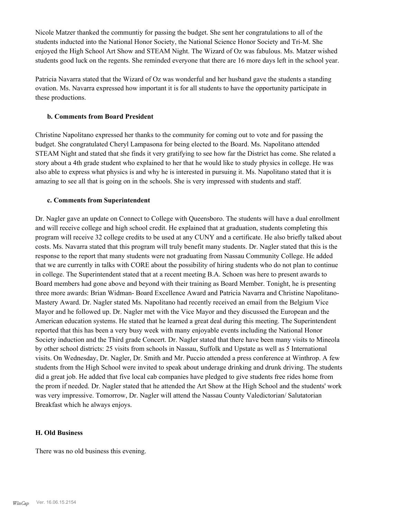Nicole Matzer thanked the communtiy for passing the budget. She sent her congratulations to all of the students inducted into the National Honor Society, the National Science Honor Society and Tri-M. She enjoyed the High School Art Show and STEAM Night. The Wizard of Oz was fabulous. Ms. Matzer wished students good luck on the regents. She reminded everyone that there are 16 more days left in the school year.

Patricia Navarra stated that the Wizard of Oz was wonderful and her husband gave the students a standing ovation. Ms. Navarra expressed how important it is for all students to have the opportunity participate in these productions.

#### **b. Comments from Board President**

Christine Napolitano expressed her thanks to the community for coming out to vote and for passing the budget. She congratulated Cheryl Lampasona for being elected to the Board. Ms. Napolitano attended STEAM Night and stated that she finds it very gratifying to see how far the District has come. She related a story about a 4th grade student who explained to her that he would like to study physics in college. He was also able to express what physics is and why he is interested in pursuing it. Ms. Napolitano stated that it is amazing to see all that is going on in the schools. She is very impressed with students and staff.

#### **c. Comments from Superintendent**

Dr. Nagler gave an update on Connect to College with Queensboro. The students will have a dual enrollment and will receive college and high school credit. He explained that at graduation, students completing this program will receive 32 college credits to be used at any CUNY and a certificate. He also briefly talked about costs. Ms. Navarra stated that this program will truly benefit many students. Dr. Nagler stated that this is the response to the report that many students were not graduating from Nassau Community College. He added that we are currently in talks with CORE about the possibility of hiring students who do not plan to continue in college. The Superintendent stated that at a recent meeting B.A. Schoen was here to present awards to Board members had gone above and beyond with their training as Board Member. Tonight, he is presenting three more awards: Brian Widman- Board Excellence Award and Patricia Navarra and Christine Napolitano-Mastery Award. Dr. Nagler stated Ms. Napolitano had recently received an email from the Belgium Vice Mayor and he followed up. Dr. Nagler met with the Vice Mayor and they discussed the European and the American education systems. He stated that he learned a great deal during this meeting. The Superintendent reported that this has been a very busy week with many enjoyable events including the National Honor Society induction and the Third grade Concert. Dr. Nagler stated that there have been many visits to Mineola by other school districts: 25 visits from schools in Nassau, Suffolk and Upstate as well as 5 International visits. On Wednesday, Dr. Nagler, Dr. Smith and Mr. Puccio attended a press conference at Winthrop. A few students from the High School were invited to speak about underage drinking and drunk driving. The students did a great job. He added that five local cab companies have pledged to give students free rides home from the prom if needed. Dr. Nagler stated that he attended the Art Show at the High School and the students' work was very impressive. Tomorrow, Dr. Nagler will attend the Nassau County Valedictorian/ Salutatorian Breakfast which he always enjoys.

#### **H. Old Business**

There was no old business this evening.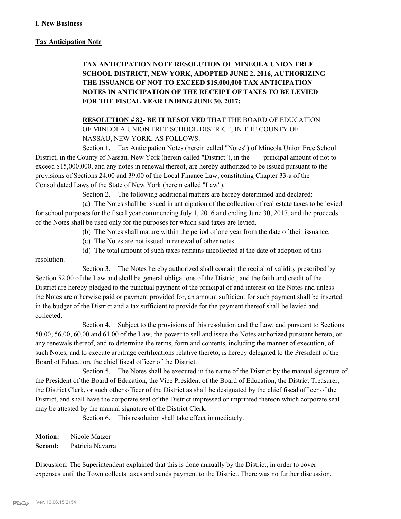#### **Tax Anticipation Note**

## **TAX ANTICIPATION NOTE RESOLUTION OF MINEOLA UNION FREE SCHOOL DISTRICT, NEW YORK, ADOPTED JUNE 2, 2016, AUTHORIZING THE ISSUANCE OF NOT TO EXCEED \$15,000,000 TAX ANTICIPATION NOTES IN ANTICIPATION OF THE RECEIPT OF TAXES TO BE LEVIED FOR THE FISCAL YEAR ENDING JUNE 30, 2017:**

**RESOLUTION # 82- BE IT RESOLVED** THAT THE BOARD OF EDUCATION OF MINEOLA UNION FREE SCHOOL DISTRICT, IN THE COUNTY OF NASSAU, NEW YORK, AS FOLLOWS:

Section 1. Tax Anticipation Notes (herein called "Notes") of Mineola Union Free School District, in the County of Nassau, New York (herein called "District"), in the principal amount of not to exceed \$15,000,000, and any notes in renewal thereof, are hereby authorized to be issued pursuant to the provisions of Sections 24.00 and 39.00 of the Local Finance Law, constituting Chapter 33-a of the Consolidated Laws of the State of New York (herein called "Law").

Section 2. The following additional matters are hereby determined and declared:

(a) The Notes shall be issued in anticipation of the collection of real estate taxes to be levied for school purposes for the fiscal year commencing July 1, 2016 and ending June 30, 2017, and the proceeds of the Notes shall be used only for the purposes for which said taxes are levied.

(b) The Notes shall mature within the period of one year from the date of their issuance.

(c) The Notes are not issued in renewal of other notes.

(d) The total amount of such taxes remains uncollected at the date of adoption of this

resolution.

Section 3. The Notes hereby authorized shall contain the recital of validity prescribed by Section 52.00 of the Law and shall be general obligations of the District, and the faith and credit of the District are hereby pledged to the punctual payment of the principal of and interest on the Notes and unless the Notes are otherwise paid or payment provided for, an amount sufficient for such payment shall be inserted in the budget of the District and a tax sufficient to provide for the payment thereof shall be levied and collected.

Section 4. Subject to the provisions of this resolution and the Law, and pursuant to Sections 50.00, 56.00, 60.00 and 61.00 of the Law, the power to sell and issue the Notes authorized pursuant hereto, or any renewals thereof, and to determine the terms, form and contents, including the manner of execution, of such Notes, and to execute arbitrage certifications relative thereto, is hereby delegated to the President of the Board of Education, the chief fiscal officer of the District.

Section 5. The Notes shall be executed in the name of the District by the manual signature of the President of the Board of Education, the Vice President of the Board of Education, the District Treasurer, the District Clerk, or such other officer of the District as shall be designated by the chief fiscal officer of the District, and shall have the corporate seal of the District impressed or imprinted thereon which corporate seal may be attested by the manual signature of the District Clerk.

Section 6. This resolution shall take effect immediately.

**Motion:** Nicole Matzer **Second:** Patricia Navarra

Discussion: The Superintendent explained that this is done annually by the District, in order to cover expenses until the Town collects taxes and sends payment to the District. There was no further discussion.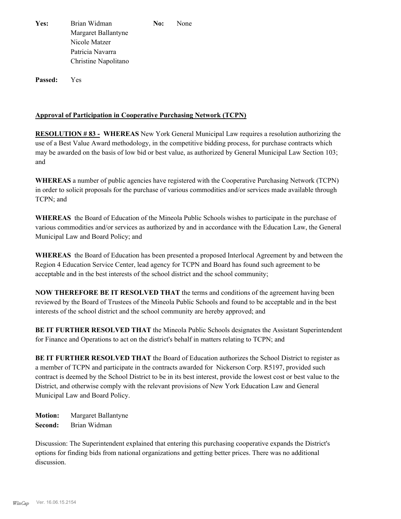Yes: Brian Widman **No:** None Margaret Ballantyne Nicole Matzer Patricia Navarra Christine Napolitano

**Passed:** Yes

#### **Approval of Participation in Cooperative Purchasing Network (TCPN)**

**RESOLUTION # 83 - WHEREAS** New York General Municipal Law requires a resolution authorizing the use of a Best Value Award methodology, in the competitive bidding process, for purchase contracts which may be awarded on the basis of low bid or best value, as authorized by General Municipal Law Section 103; and

**WHEREAS** a number of public agencies have registered with the Cooperative Purchasing Network (TCPN) in order to solicit proposals for the purchase of various commodities and/or services made available through TCPN; and

**WHEREAS** the Board of Education of the Mineola Public Schools wishes to participate in the purchase of various commodities and/or services as authorized by and in accordance with the Education Law, the General Municipal Law and Board Policy; and

**WHEREAS** the Board of Education has been presented a proposed Interlocal Agreement by and between the Region 4 Education Service Center, lead agency for TCPN and Board has found such agreement to be acceptable and in the best interests of the school district and the school community;

**NOW THEREFORE BE IT RESOLVED THAT** the terms and conditions of the agreement having been reviewed by the Board of Trustees of the Mineola Public Schools and found to be acceptable and in the best interests of the school district and the school community are hereby approved; and

**BE IT FURTHER RESOLVED THAT** the Mineola Public Schools designates the Assistant Superintendent for Finance and Operations to act on the district's behalf in matters relating to TCPN; and

**BE IT FURTHER RESOLVED THAT** the Board of Education authorizes the School District to register as a member of TCPN and participate in the contracts awarded for Nickerson Corp. R5197, provided such contract is deemed by the School District to be in its best interest, provide the lowest cost or best value to the District, and otherwise comply with the relevant provisions of New York Education Law and General Municipal Law and Board Policy.

**Motion:** Margaret Ballantyne **Second:** Brian Widman

Discussion: The Superintendent explained that entering this purchasing cooperative expands the District's options for finding bids from national organizations and getting better prices. There was no additional discussion.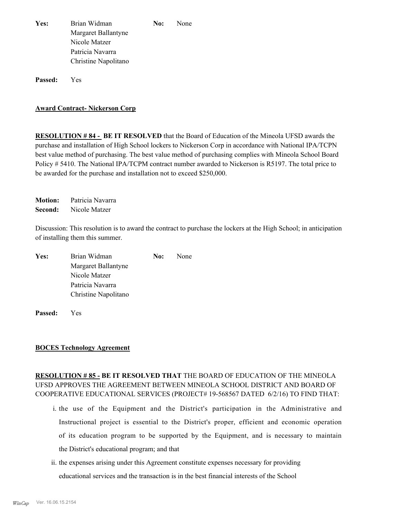| Yes: | Brian Widman         | No: | <b>None</b> |
|------|----------------------|-----|-------------|
|      | Margaret Ballantyne  |     |             |
|      | Nicole Matzer        |     |             |
|      | Patricia Navarra     |     |             |
|      | Christine Napolitano |     |             |

**Passed:** Yes

#### **Award Contract- Nickerson Corp**

**RESOLUTION # 84 - BE IT RESOLVED** that the Board of Education of the Mineola UFSD awards the purchase and installation of High School lockers to Nickerson Corp in accordance with National IPA/TCPN best value method of purchasing. The best value method of purchasing complies with Mineola School Board Policy # 5410. The National IPA/TCPM contract number awarded to Nickerson is R5197. The total price to be awarded for the purchase and installation not to exceed \$250,000.

**Motion:** Patricia Navarra **Second:** Nicole Matzer

Discussion: This resolution is to award the contract to purchase the lockers at the High School; in anticipation of installing them this summer.

| Yes: | Brian Widman         | No: | None |
|------|----------------------|-----|------|
|      | Margaret Ballantyne  |     |      |
|      | Nicole Matzer        |     |      |
|      | Patricia Navarra     |     |      |
|      | Christine Napolitano |     |      |
|      |                      |     |      |

**Passed:** Yes

#### **BOCES Technology Agreement**

#### **RESOLUTION # 85 - BE IT RESOLVED THAT** THE BOARD OF EDUCATION OF THE MINEOLA UFSD APPROVES THE AGREEMENT BETWEEN MINEOLA SCHOOL DISTRICT AND BOARD OF COOPERATIVE EDUCATIONAL SERVICES (PROJECT# 19-568567 DATED 6/2/16) TO FIND THAT:

- i. the use of the Equipment and the District's participation in the Administrative and Instructional project is essential to the District's proper, efficient and economic operation of its education program to be supported by the Equipment, and is necessary to maintain the District's educational program; and that
- ii. the expenses arising under this Agreement constitute expenses necessary for providing educational services and the transaction is in the best financial interests of the School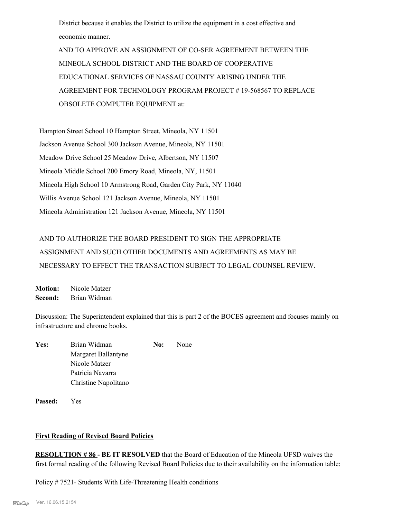District because it enables the District to utilize the equipment in a cost effective and economic manner.

 AND TO APPROVE AN ASSIGNMENT OF CO-SER AGREEMENT BETWEEN THE MINEOLA SCHOOL DISTRICT AND THE BOARD OF COOPERATIVE EDUCATIONAL SERVICES OF NASSAU COUNTY ARISING UNDER THE AGREEMENT FOR TECHNOLOGY PROGRAM PROJECT # 19-568567 TO REPLACE OBSOLETE COMPUTER EQUIPMENT at:

Hampton Street School 10 Hampton Street, Mineola, NY 11501 Jackson Avenue School 300 Jackson Avenue, Mineola, NY 11501 Meadow Drive School 25 Meadow Drive, Albertson, NY 11507 Mineola Middle School 200 Emory Road, Mineola, NY, 11501 Mineola High School 10 Armstrong Road, Garden City Park, NY 11040 Willis Avenue School 121 Jackson Avenue, Mineola, NY 11501 Mineola Administration 121 Jackson Avenue, Mineola, NY 11501

## AND TO AUTHORIZE THE BOARD PRESIDENT TO SIGN THE APPROPRIATE ASSIGNMENT AND SUCH OTHER DOCUMENTS AND AGREEMENTS AS MAY BE NECESSARY TO EFFECT THE TRANSACTION SUBJECT TO LEGAL COUNSEL REVIEW.

**Motion:** Nicole Matzer **Second:** Brian Widman

Discussion: The Superintendent explained that this is part 2 of the BOCES agreement and focuses mainly on infrastructure and chrome books.

| Yes: | Brian Widman         | No: | None |
|------|----------------------|-----|------|
|      | Margaret Ballantyne  |     |      |
|      | Nicole Matzer        |     |      |
|      | Patricia Navarra     |     |      |
|      | Christine Napolitano |     |      |
|      |                      |     |      |

**Passed:** Yes

#### **First Reading of Revised Board Policies**

**RESOLUTION # 86 - BE IT RESOLVED** that the Board of Education of the Mineola UFSD waives the first formal reading of the following Revised Board Policies due to their availability on the information table:

Policy # 7521- Students With Life-Threatening Health conditions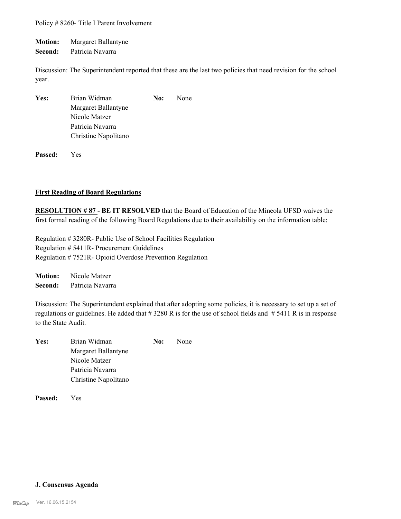Policy # 8260- Title I Parent Involvement

**Motion:** Margaret Ballantyne

**Second:** Patricia Navarra

Discussion: The Superintendent reported that these are the last two policies that need revision for the school year.

| Yes: | Brian Widman         | No: | None |
|------|----------------------|-----|------|
|      | Margaret Ballantyne  |     |      |
|      | Nicole Matzer        |     |      |
|      | Patricia Navarra     |     |      |
|      | Christine Napolitano |     |      |

**Passed:** Yes

#### **First Reading of Board Regulations**

**RESOLUTION # 87 - BE IT RESOLVED** that the Board of Education of the Mineola UFSD waives the first formal reading of the following Board Regulations due to their availability on the information table:

Regulation # 3280R- Public Use of School Facilities Regulation Regulation # 5411R- Procurement Guidelines Regulation # 7521R- Opioid Overdose Prevention Regulation

**Motion:** Nicole Matzer **Second:** Patricia Navarra

Discussion: The Superintendent explained that after adopting some policies, it is necessary to set up a set of regulations or guidelines. He added that  $\# 3280 \text{ R}$  is for the use of school fields and  $\# 5411 \text{ R}$  is in response to the State Audit.

| Yes: | Brian Widman         | No: | None |
|------|----------------------|-----|------|
|      | Margaret Ballantyne  |     |      |
|      | Nicole Matzer        |     |      |
|      | Patricia Navarra     |     |      |
|      | Christine Napolitano |     |      |
|      |                      |     |      |

**Passed:** Yes

#### **J. Consensus Agenda**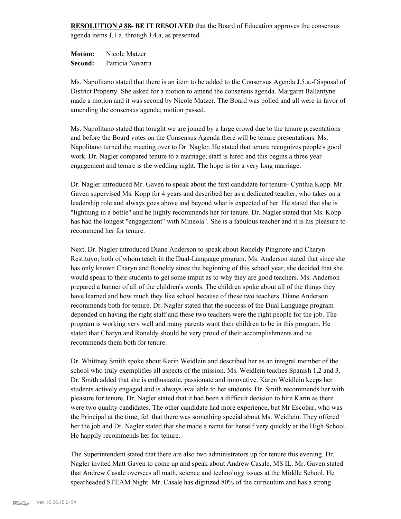**RESOLUTION # 88- BE IT RESOLVED** that the Board of Education approves the consensus agenda items J.1.a. through J.4.a, as presented.

**Motion:** Nicole Matzer **Second:** Patricia Navarra

Ms. Napolitano stated that there is an item to be added to the Consensus Agenda J.5.a.-Disposal of District Property. She asked for a motion to amend the consensus agenda. Margaret Ballantyne made a motion and it was second by Nicole Matzer. The Board was polled and all were in favor of amending the consensus agenda; motion passed.

Ms. Napolitano stated that tonight we are joined by a large crowd due to the tenure presentations and before the Board votes on the Consensus Agenda there will be tenure presentations. Ms. Napolitano turned the meeting over to Dr. Nagler. He stated that tenure recognizes people's good work. Dr. Nagler compared tenure to a marriage; staff is hired and this begins a three year engagement and tenure is the wedding night. The hope is for a very long marriage.

Dr. Nagler introduced Mr. Gaven to speak about the first candidate for tenure- Cynthia Kopp. Mr. Gaven supervised Ms. Kopp for 4 years and described her as a dedicated teacher, who takes on a leadership role and always goes above and beyond what is expected of her. He stated that she is "lightning in a bottle" and he highly recommends her for tenure. Dr. Nagler stated that Ms. Kopp has had the longest "engagement" with Mineola". She is a fabulous teacher and it is his pleasure to recommend her for tenure.

Next, Dr. Nagler introduced Diane Anderson to speak about Roneldy Pingitore and Charyn Restituyo; both of whom teach in the Dual-Language program. Ms. Anderson stated that since she has only known Charyn and Roneldy since the beginning of this school year, she decided that she would speak to their students to get some imput as to why they are good teachers. Ms. Anderson prepared a banner of all of the children's words. The children spoke about all of the things they have learned and how much they like school because of these two teachers. Diane Anderson recommends both for tenure. Dr. Nagler stated that the success of the Dual Language program depended on having the right staff and these two teachers were the right people for the job. The program is working very well and many parents want their children to be in this program. He stated that Charyn and Roneldy should be very proud of their accomplishments and he recommends them both for tenure.

Dr. Whittney Smith spoke about Karin Weidlein and described her as an integral member of the school who truly exemplifies all aspects of the mission. Ms. Weidlein teaches Spanish 1,2 and 3. Dr. Smith added that she is enthusiastic, passionate and innovative. Karen Weidlein keeps her students actively engaged and is always available to her students. Dr. Smith recommends her with pleasure for tenure. Dr. Nagler stated that it had been a difficult decision to hire Karin as there were two quality candidates. The other candidate had more experience, but Mr Escobar, who was the Principal at the time, felt that there was something special about Ms. Weidlein. They offered her the job and Dr. Nagler stated that she made a name for herself very quickly at the High School. He happily recommends her for tenure.

The Superintendent stated that there are also two administrators up for tenure this evening. Dr. Nagler invited Matt Gaven to come up and speak about Andrew Casale, MS IL. Mr. Gaven stated that Andrew Casale oversees all math, science and technology issues at the Middle School. He spearheaded STEAM Night. Mr. Casale has digitized 80% of the curriculum and has a strong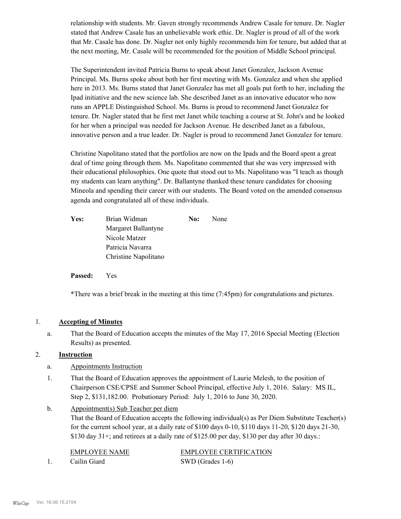relationship with students. Mr. Gaven strongly recommends Andrew Casale for tenure. Dr. Nagler stated that Andrew Casale has an unbelievable work ethic. Dr. Nagler is proud of all of the work that Mr. Casale has done. Dr. Nagler not only highly recommends him for tenure, but added that at the next meeting, Mr. Casale will be recommended for the position of Middle School principal.

The Superintendent invited Patricia Burns to speak about Janet Gonzalez, Jackson Avenue Principal. Ms. Burns spoke about both her first meeting with Ms. Gonzalez and when she applied here in 2013. Ms. Burns stated that Janet Gonzalez has met all goals put forth to her, including the Ipad initiative and the new science lab. She described Janet as an innovative educator who now runs an APPLE Distinguished School. Ms. Burns is proud to recommend Janet Gonzalez for tenure. Dr. Nagler stated that he first met Janet while teaching a course at St. John's and he looked for her when a principal was needed for Jackson Avenue. He described Janet as a fabulous, innovative person and a true leader. Dr. Nagler is proud to recommend Janet Gonzalez for tenure.

Christine Napolitano stated that the portfolios are now on the Ipads and the Board spent a great deal of time going through them. Ms. Napolitano commented that she was very impressed with their educational philosophies. One quote that stood out to Ms. Napolitano was "I teach as though my students can learn anything". Dr. Ballantyne thanked these tenure candidates for choosing Mineola and spending their career with our students. The Board voted on the amended consensus agenda and congratulated all of these individuals.

| Yes: | Brian Widman         | No: | None |
|------|----------------------|-----|------|
|      | Margaret Ballantyne  |     |      |
|      | Nicole Matzer        |     |      |
|      | Patricia Navarra     |     |      |
|      | Christine Napolitano |     |      |

**Passed:** Yes

\*There was a brief break in the meeting at this time (7:45pm) for congratulations and pictures.

#### 1. **Accepting of Minutes**

That the Board of Education accepts the minutes of the May 17, 2016 Special Meeting (Election Results) as presented. a.

#### 2. **Instruction**

- a. Appointments Instruction
- That the Board of Education approves the appointment of Laurie Melesh, to the position of Chairperson CSE/CPSE and Summer School Principal, effective July 1, 2016. Salary: MS IL, Step 2, \$131,182.00. Probationary Period: July 1, 2016 to June 30, 2020. 1.
- Appointment(s) Sub Teacher per diem b.

That the Board of Education accepts the following individual(s) as Per Diem Substitute Teacher(s) for the current school year, at a daily rate of \$100 days 0-10, \$110 days 11-20, \$120 days 21-30,  $$130$  day  $31+$ ; and retirees at a daily rate of  $$125.00$  per day,  $$130$  per day after 30 days.:

EMPLOYEE NAME EMPLOYEE CERTIFICATION 1. Cailin Giard SWD (Grades 1-6)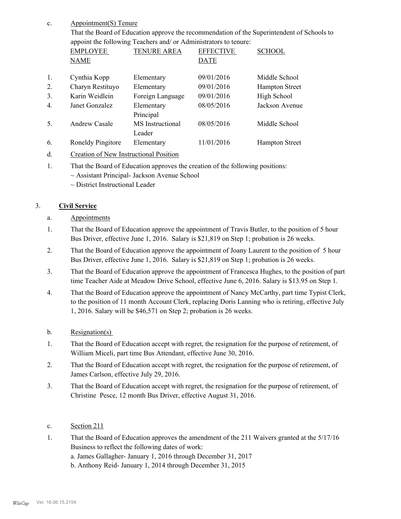#### Appointment(S) Tenure c.

That the Board of Education approve the recommendation of the Superintendent of Schools to appoint the following Teachers and/ or Administrators to tenure:

|                  | <b>EMPLOYEE</b>   | <b>TENURE AREA</b>         | <b>EFFECTIVE</b> | <b>SCHOOL</b>         |
|------------------|-------------------|----------------------------|------------------|-----------------------|
|                  | <b>NAME</b>       |                            | <b>DATE</b>      |                       |
| 1.               | Cynthia Kopp      | Elementary                 | 09/01/2016       | Middle School         |
| 2.               | Charyn Restituyo  | Elementary                 | 09/01/2016       | <b>Hampton Street</b> |
| 3.               | Karin Weidlein    | Foreign Language           | 09/01/2016       | High School           |
| $\overline{4}$ . | Janet Gonzalez    | Elementary<br>Principal    | 08/05/2016       | Jackson Avenue        |
| 5.               | Andrew Casale     | MS Instructional<br>Leader | 08/05/2016       | Middle School         |
| 6.               | Roneldy Pingitore | Elementary                 | 11/01/2016       | <b>Hampton Street</b> |

- d. Creation of New Instructional Position
- That the Board of Education approves the creation of the following positions: 1.
	- ~ Assistant Principal- Jackson Avenue School
	- ~ District Instructional Leader

## 3. **Civil Service**

- a. Appointments
- That the Board of Education approve the appointment of Travis Butler, to the position of 5 hour Bus Driver, effective June 1, 2016. Salary is \$21,819 on Step 1; probation is 26 weeks. 1.
- That the Board of Education approve the appointment of Joany Laurent to the position of 5 hour Bus Driver, effective June 1, 2016. Salary is \$21,819 on Step 1; probation is 26 weeks. 2.
- That the Board of Education approve the appointment of Francesca Hughes, to the position of part time Teacher Aide at Meadow Drive School, effective June 6, 2016. Salary is \$13.95 on Step 1. 3.
- That the Board of Education approve the appointment of Nancy McCarthy, part time Typist Clerk, to the position of 11 month Account Clerk, replacing Doris Lanning who is retiring, effective July 1, 2016. Salary will be \$46,571 on Step 2; probation is 26 weeks. 4.
- b. Resignation(s)
- That the Board of Education accept with regret, the resignation for the purpose of retirement, of William Miceli, part time Bus Attendant, effective June 30, 2016. 1.
- That the Board of Education accept with regret, the resignation for the purpose of retirement, of James Carlson, effective July 29, 2016. 2.
- That the Board of Education accept with regret, the resignation for the purpose of retirement, of Christine Pesce, 12 month Bus Driver, effective August 31, 2016. 3.
- c. Section 211
- That the Board of Education approves the amendment of the 211 Waivers granted at the 5/17/16 Business to reflect the following dates of work: a. James Gallagher- January 1, 2016 through December 31, 2017 b. Anthony Reid- January 1, 2014 through December 31, 2015 1.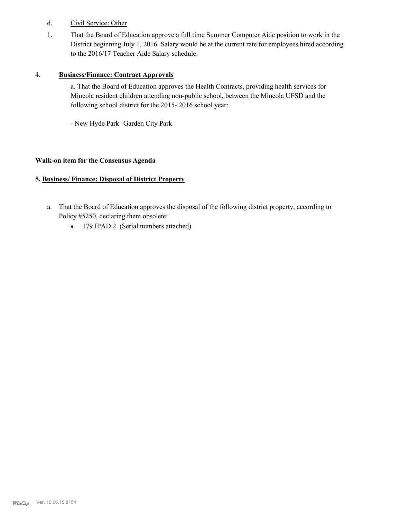- d. Civil Service: Other
- That the Board of Education approve a full time Summer Computer Aide position to work in the District beginning July 1, 2016. Salary would be at the current rate for employees hired according to the 2016/17 Teacher Aide Salary schedule. 1.

#### 4. **Business/Finance: Contract Approvals**

a. That the Board of Education approves the Health Contracts, providing health services for Mineola resident children attending non-public school, between the Mineola UFSD and the following school district for the 2015- 2016 school year:

- New Hyde Park- Garden City Park

#### **Walk-on item for the Consensus Agenda**

#### **5. Business/ Finance: Disposal of District Property**

- a. That the Board of Education approves the disposal of the following district property, according to Policy #5250, declaring them obsolete:
	- · 179 IPAD 2 (Serial numbers attached)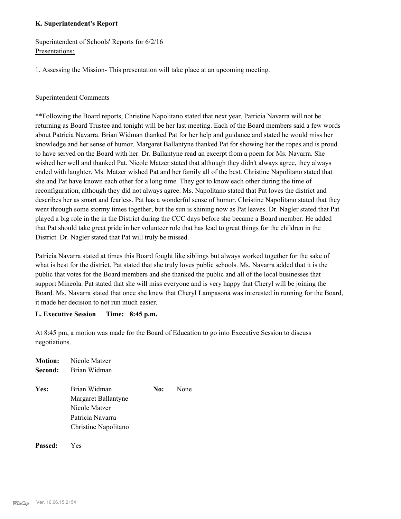#### **K. Superintendent's Report**

Superintendent of Schools' Reports for 6/2/16 Presentations:

1. Assessing the Mission- This presentation will take place at an upcoming meeting.

#### Superintendent Comments

\*\*Following the Board reports, Christine Napolitano stated that next year, Patricia Navarra will not be returning as Board Trustee and tonight will be her last meeting. Each of the Board members said a few words about Patricia Navarra. Brian Widman thanked Pat for her help and guidance and stated he would miss her knowledge and her sense of humor. Margaret Ballantyne thanked Pat for showing her the ropes and is proud to have served on the Board with her. Dr. Ballantyne read an excerpt from a poem for Ms. Navarra. She wished her well and thanked Pat. Nicole Matzer stated that although they didn't always agree, they always ended with laughter. Ms. Matzer wished Pat and her family all of the best. Christine Napolitano stated that she and Pat have known each other for a long time. They got to know each other during the time of reconfiguration, although they did not always agree. Ms. Napolitano stated that Pat loves the district and describes her as smart and fearless. Pat has a wonderful sense of humor. Christine Napolitano stated that they went through some stormy times together, but the sun is shining now as Pat leaves. Dr. Nagler stated that Pat played a big role in the in the District during the CCC days before she became a Board member. He added that Pat should take great pride in her volunteer role that has lead to great things for the children in the District. Dr. Nagler stated that Pat will truly be missed.

Patricia Navarra stated at times this Board fought like siblings but always worked together for the sake of what is best for the district. Pat stated that she truly loves public schools. Ms. Navarra added that it is the public that votes for the Board members and she thanked the public and all of the local businesses that support Mineola. Pat stated that she will miss everyone and is very happy that Cheryl will be joining the Board. Ms. Navarra stated that once she knew that Cheryl Lampasona was interested in running for the Board, it made her decision to not run much easier.

#### **L. Executive Session Time: 8:45 p.m.**

At 8:45 pm, a motion was made for the Board of Education to go into Executive Session to discuss negotiations.

| Motion: | Nicole Matzer        |     |      |
|---------|----------------------|-----|------|
| Second: | Brian Widman         |     |      |
| Yes:    | Brian Widman         | No: | None |
|         | Margaret Ballantyne  |     |      |
|         | Nicole Matzer        |     |      |
|         | Patricia Navarra     |     |      |
|         | Christine Napolitano |     |      |
|         |                      |     |      |

#### **Passed:** Yes